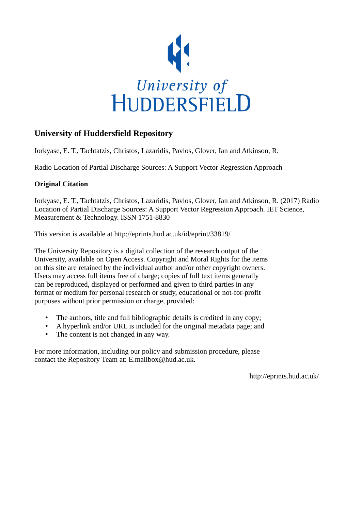

# **University of Huddersfield Repository**

Iorkyase, E. T., Tachtatzis, Christos, Lazaridis, Pavlos, Glover, Ian and Atkinson, R.

Radio Location of Partial Discharge Sources: A Support Vector Regression Approach

# **Original Citation**

Iorkyase, E. T., Tachtatzis, Christos, Lazaridis, Pavlos, Glover, Ian and Atkinson, R. (2017) Radio Location of Partial Discharge Sources: A Support Vector Regression Approach. IET Science, Measurement & Technology. ISSN 1751-8830

This version is available at http://eprints.hud.ac.uk/id/eprint/33819/

The University Repository is a digital collection of the research output of the University, available on Open Access. Copyright and Moral Rights for the items on this site are retained by the individual author and/or other copyright owners. Users may access full items free of charge; copies of full text items generally can be reproduced, displayed or performed and given to third parties in any format or medium for personal research or study, educational or not-for-profit purposes without prior permission or charge, provided:

- The authors, title and full bibliographic details is credited in any copy;
- A hyperlink and/or URL is included for the original metadata page; and
- The content is not changed in any way.

For more information, including our policy and submission procedure, please contact the Repository Team at: E.mailbox@hud.ac.uk.

http://eprints.hud.ac.uk/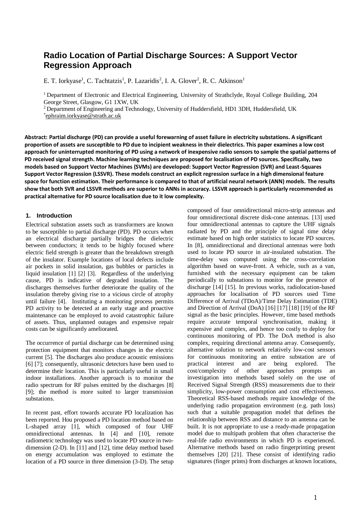# **Radio Location of Partial Discharge Sources: A Support Vector Regression Approach**

E. T. Iorkyase<sup>1</sup>, C. Tachtatzis<sup>1</sup>, P. Lazaridis<sup>2</sup>, I. A. Glover<sup>2</sup>, R. C. Atkinson<sup>1</sup>

<sup>1</sup> Department of Electronic and Electrical Engineering, University of Strathclyde, Royal College Building, 204 George Street, Glasgow, G1 1XW, UK

<sup>2</sup> Department of Engineering and Technology, University of Huddersfield, HD1 3DH, Huddersfield, UK \* [ephraim.iorkyase@strath.ac.uk](mailto:ephraim.iorkyase@strath.ac.uk)

**Abstract: Partial discharge (PD) can provide a useful forewarning of asset failure in electricity substations. A significant proportion of assets are susceptible to PD due to incipient weakness in their dielectrics. This paper examines a low cost approach for uninterrupted monitoring of PD using a network of inexpensive radio sensors to sample the spatial patterns of PD received signal strength. Machine learning techniques are proposed for localisation of PD sources. Specifically, two models based on Support Vector Machines (SVMs) are developed: Support Vector Regression (SVR) and Least-Squares Support Vector Regression (LSSVR). These models construct an explicit regression surface in a high dimensional feature space for function estimation. Their performance is compared to that of artificial neural network (ANN) models. The results show that both SVR and LSSVR methods are superior to ANNs in accuracy. LSSVR approach is particularly recommended as practical alternative for PD source localisation due to it low complexity.**

## **1. Introduction**

Electrical substation assets such as transformers are known to be susceptible to partial discharge (PD). PD occurs when an electrical discharge partially bridges the dielectric between conductors; it tends to be highly focused where electric field strength is greater than the breakdown strength of the insulator. Example locations of local defects include air pockets in solid insulation, gas bubbles or particles in liquid insulation [1] [2] [3]. Regardless of the underlying cause, PD is indicative of degraded insulation. The discharges themselves further deteriorate the quality of the insulation thereby giving rise to a vicious circle of atrophy until failure [4]. Instituting a monitoring process permits PD activity to be detected at an early stage and proactive maintenance can be employed to avoid catastrophic failure of assets. Thus, unplanned outages and expensive repair costs can be significantly ameliorated.

The occurrence of partial discharge can be determined using protection equipment that monitors changes in the electric current [5]. The discharges also produce acoustic emissions [6] [7]; consequently, ultrasonic detectors have been used to determine their location. This is particularly useful in small indoor installations. Another approach is to monitor the radio spectrum for RF pulses emitted by the discharges [8] [9]; the method is more suited to larger transmission substations.

In recent past, effort towards accurate PD localization has been reported. Hou proposed a PD location method based on L-shaped array [1], which composed of four UHF omnidirectional antennas. In [4] and [10], remote radiometric technology was used to locate PD source in twodimension (2-D). In [11] and [12], time delay method based on energy accumulation was employed to estimate the location of a PD source in three dimension (3-D). The setup composed of four omnidirectional micro-strip antennas and four omnidirectional discrete disk-cone antennas. [13] used four omnidirectional antennas to capture the UHF signals radiated by PD and the principle of signal time delay estimate based on high order statistics to locate PD sources. In [8], omnidirectional and directional antennas were both used to locate PD source in air-insulated substation. The time-delay was computed using the cross-correlation algorithm based on wave-front. A vehicle, such as a van, furnished with the necessary equipment can be taken periodically to substations to monitor for the presence of discharge [14] [15]. In previous works, radiolocation-based approaches for localisation of PD sources used Time Difference of Arrival (TDoA)/Time Delay Estimation (TDE) and Direction of Arrival (DoA) [16] [17] [18] [19] of the RF signal as the basic principles. However, time based methods require accurate temporal synchronisation, making it expensive and complex, and hence too costly to deploy for continuous monitoring of PD. The DoA method is also complex, requiring directional antenna array. Consequently, alternative solution to network relatively low-cost sensors for continuous monitoring an entire substation are of practical interest and are being explored. The cost/complexity of other approaches prompts an investigation into methods based solely on the use of Received Signal Strength (RSS) measurements due to their simplicity, low-power consumption and cost effectiveness. Theoretical RSS-based methods require knowledge of the underlying radio propagation environment (e.g. path loss) such that a suitable propagation model that defines the relationship between RSS and distance to an antenna can be built. It is not appropriate to use a ready-made propagation model due to multipath problem that often characterise the real-life radio environments in which PD is experienced. Alternative methods based on radio fingerprinting present themselves [20] [21]. These consist of identifying radio signatures (finger prints) from discharges at known locations,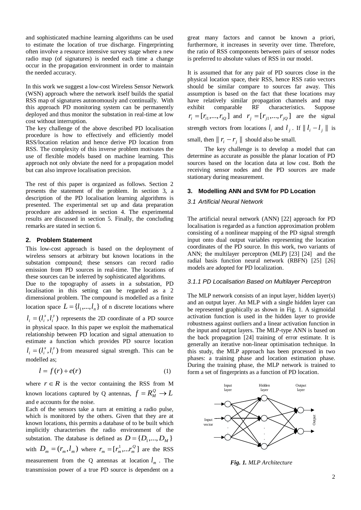and sophisticated machine learning algorithms can be used to estimate the location of true discharge. Fingerprinting often involve a resource intensive survey stage where a new radio map (of signatures) is needed each time a change occur in the propagation environment in order to maintain the needed accuracy.

In this work we suggest a low-cost Wireless Sensor Network (WSN) approach where the network itself builds the spatial RSS map of signatures autonomously and continually. With this approach PD monitoring system can be permanently deployed and thus monitor the substation in real-time at low cost without interruption.

The key challenge of the above described PD localisation procedure is how to effectively and efficiently model RSS/location relation and hence derive PD location from RSS. The complexity of this inverse problem motivates the use of flexible models based on machine learning. This approach not only obviate the need for a propagation model but can also improve localisation precision.

The rest of this paper is organized as follows. Section 2 presents the statement of the problem. In section 3, a description of the PD localisation learning algorithms is presented. The experimental set up and data preparation procedure are addressed in section 4. The experimental results are discussed in section 5. Finally, the concluding remarks are stated in section 6.

## **2. Problem Statement**

This low-cost approach is based on the deployment of wireless sensors at arbitrary but known locations in the substation compound; these sensors can record radio emission from PD sources in real-time. The locations of these sources can be inferred by sophisticated algorithms. Due to the topography of assets in a substation, PD localisation in this setting can be regarded as a 2

dimensional problem. The compound is modelled as a finite location space  $L = \{l_1, ..., l_n\}$  of n discrete locations where  $l_i = (l_i^x, l_i^y)$  represents the 2D coordinate of a PD source

in physical space. In this paper we exploit the mathematical relationship between PD location and signal attenuation to estimate a function which provides PD source location  $l_i = (l_i^x, l_i^y)$  from measured signal strength. This can be modelled as;

$$
l = f(r) + e(r) \tag{1}
$$

where  $r \in R$  is the vector containing the RSS from M known locations captured by Q antennas,  $f = R_M^Q \rightarrow L$ and e accounts for the noise.

Each of the sensors take a turn at emitting a radio pulse, which is monitored by the others. Given that they are at known locations, this permits a database of to be built which implicitly characterises the radio environment of the substation. The database is defined as  $D = \{D_1, ..., D_M\}$ with  $D_m = (r_m, l_m)$  where  $r_m = [r_m^1, \dots, r_m^Q]$  are the RSS measurement from the Q antennas at location  $l_m$ . The transmission power of a true PD source is dependent on a

great many factors and cannot be known a priori, furthermore, it increases in severity over time. Therefore, the ratio of RSS components between pairs of sensor nodes is preferred to absolute values of RSS in our model.

It is assumed that for any pair of PD sources close in the physical location space, their RSS, hence RSS ratio vectors should be similar compare to sources far away. This assumption is based on the fact that these locations may have relatively similar propagation channels and may exhibit comparable RF characteristics. Suppose  $r_i = [r_{i1}, ..., r_{iQ}]$  and  $r_j = [r_{j1}, ..., r_{jQ}]$  are the signal strength vectors from locations  $l_i$  and  $l_j$ . If  $||l_i - l_j||$  is small, then  $|| r_i - r_j ||$  should also be small.

The key challenge is to develop a model that can determine as accurate as possible the planar location of PD sources based on the location data at low cost. Both the receiving sensor nodes and the PD sources are made stationary during measurement.

# **3. Modelling ANN and SVM for PD Location**

### *3.1 Artificial Neural Network*

The artificial neural network (ANN) [22] approach for PD localisation is regarded as a function approximation problem consisting of a nonlinear mapping of the PD signal strength input onto dual output variables representing the location coordinates of the PD source. In this work, two variants of ANN; the multilayer perceptron (MLP) [23] [24] and the radial basis function neural network (RBFN) [25] [26] models are adopted for PD localization.

## *3.1.1 PD Localisation Based on Multilayer Perceptron*

The MLP network consists of an input layer, hidden layer(s) and an output layer. An MLP with a single hidden layer can be represented graphically as shown in [Fig.](#page-2-0) 1. A sigmoidal activation function is used in the hidden layer to provide robustness against outliers and a linear activation function in the input and output layers. The MLP-type ANN is based on the back propagation [24] training of error estimate. It is generally an iterative non-linear optimisation technique. In this study, the MLP approach has been processed in two phases: a training phase and location estimation phase. During the training phase, the MLP network is trained to form a set of fingerprints as a function of PD location.



<span id="page-2-0"></span>*Fig. 1. MLP Architecture*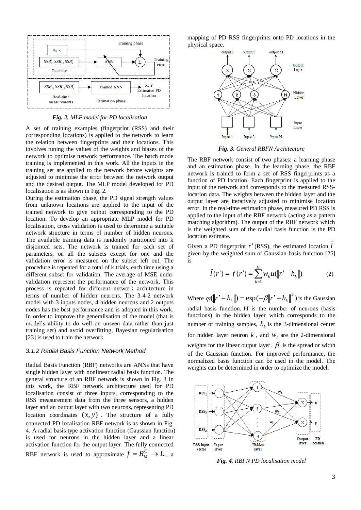

*Fig. 2. MLP model for PD localisation*

<span id="page-3-0"></span>A set of training examples (fingerprint (RSS) and their corresponding locations) is applied to the network to learn the relation between fingerprints and their locations. This involves tuning the values of the weights and biases of the network to optimise network performance. The batch mode training is implemented in this work. All the inputs in the training set are applied to the network before weights are adjusted to minimise the error between the network output and the desired output. The MLP model developed for PD localisation is as shown in [Fig.](#page-3-0) 2.

During the estimation phase, the PD signal strength values from unknown locations are applied to the input of the trained network to give output corresponding to the PD location. To develop an appropriate MLP model for PD localisation, cross validation is used to determine a suitable network structure in terms of number of hidden neurons. The available training data is randomly partitioned into k disjointed sets. The network is trained for each set of parameters, on all the subsets except for one and the validation error is measured on the subset left out. The procedure is repeated for a total of k trials, each time using a different subset for validation. The average of MSE under validation represent the performance of the network. This process is repeated for different network architecture in terms of number of hidden neurons. The 3-4-2 network model with 3 inputs nodes, 4 hidden neurons and 2 outputs nodes has the best performance and is adopted in this work. In order to improve the generalisation of the model (that is model's ability to do well on unseen data rather than just training set) and avoid overfitting, Bayesian regularisation [23] is used to train the network.

#### *3.1.2 Radial Basis Function Network Method*

Radial Basis Function (RBF) networks are ANNs that have single hidden layer with nonlinear radial basis function. The general structure of an RBF network is shown in [Fig.](#page-3-1) 3 In this work, the RBF network architecture used for PD localisation consist of three inputs, corresponding to the RSS measurement data from the three sensors, a hidden layer and an output layer with two neurons, representing PD location coordinates (*<sup>x</sup>*, *y*) . The structure of a fully connected PD localisation RBF network is as shown in [Fig.](#page-3-2)  [4.](#page-3-2) A radial basis type activation function (Gaussian function) is used for neurons in the hidden layer and a linear activation function for the output layer. The fully connected RBF network is used to approximate  $f = R_M^Q \rightarrow L$ , a

mapping of PD RSS fingerprints onto PD locations in the physical space.



*Fig. 3. General RBFN Architecture*

<span id="page-3-1"></span>The RBF network consist of two phases: a learning phase and an estimation phase. In the learning phase, the RBF network is trained to form a set of RSS fingerprints as a function of PD location. Each fingerprint is applied to the input of the network and corresponds to the measured RSSlocation data. The weights between the hidden layer and the output layer are iteratively adjusted to minimise location error. In the real-time estimation phase, measured PD RSS is applied to the input of the RBF network (acting as a pattern matching algorithm). The output of the RBF network which is the weighted sum of the radial basis function is the PD location estimate.

Given a PD fingerprint r' (RSS), the estimated location *l* given by the weighted sum of Gaussian basis function [25] is

$$
\hat{l}(r') = f(r') = \sum_{k=1}^{H} w_k u(\|r' - h_k\|)
$$
 (2)

Where  $\varphi(\Vert r'-h_k \Vert) = \exp(-\beta \Vert r'-h_k \Vert^2)$  is the Gaussian radial basis function.  $H$  is the number of neurons (basis functions) in the hidden layer which corresponds to the number of training samples,  $h_k$  is the 3-dimensional center for hidden layer neuron  $k$ , and  $w_k$  are the 2-dimensional weights for the linear output layer.  $\beta$  is the spread or width of the Gaussian function. For improved performance, the normalized basis function can be used in the model. The weights can be determined in order to optimize the model.



<span id="page-3-2"></span>*Fig. 4. RBFN PD localisation model*

ˆ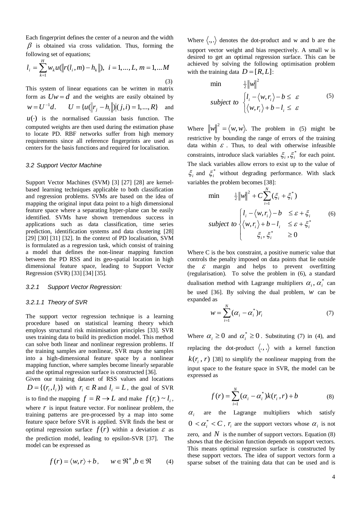Each fingerprint defines the center of a neuron and the width  $\beta$  is obtained via cross validation. Thus, forming the following set of equations;

$$
l_i = \sum_{k=1}^{H} w_k u(||r(l_i, m) - h_k||), \quad i = 1, ..., L, m = 1, ...M
$$
\n(3)

This system of linear equations can be written in matrix form as  $Uw = d$  and the weights are easily obtained by  $w = U^{-1}d$ .  $U^{-1}d.$   $U = {u(||r_j - h_i||)(j,i) = 1,...,R}$ and  $u(\cdot)$  is the normalised Gaussian basis function. The computed weights are then used during the estimation phase to locate PD. RBF networks suffer from high memory requirements since all reference fingerprints are used as centers for the basis functions and required for localisation.

#### *3.2 Support Vector Machine*

Support Vector Machines (SVM) [3] [27] [28] are kernelbased learning techniques applicable to both classification and regression problems. SVMs are based on the idea of mapping the original input data point to a high dimensional feature space where a separating hyper-plane can be easily identified. SVMs have shown tremendous success in applications such as data classification, time series prediction, identification systems and data clustering [28] [29] [30] [31] [32]. In the context of PD localisation, SVM is formulated as a regression task, which consist of training a model that defines the non-linear mapping function between the PD RSS and its geo-spatial location in high dimensional feature space, leading to Support Vector Regression (SVR) [33] [34] [35].

#### *3.2.1 Support Vector Regression:*

#### *3.2.1.1 Theory of SVR*

The support vector regression technique is a learning procedure based on statistical learning theory which employs structural risk minimisation principles [33]. SVR uses training data to build its prediction model. This method can solve both linear and nonlinear regression problems. If the training samples are nonlinear, SVR maps the samples into a high-dimensional feature space by a nonlinear mapping function, where samples become linearly separable and the optimal regression surface is constructed [36].

Given our training dataset of RSS values and locations  $D = \{(r_i, l_i)\}\$ with  $r_i \in R$  and  $l_i = L$ , the goal of SVR is to find the mapping  $f = R \rightarrow L$  and make  $f(r_i) \sim l_i$ , where  $r$  is input feature vector. For nonlinear problem, the training patterns are pre-processed by a map into some feature space before SVR is applied. SVR finds the best or optimal regression surface  $f(r)$  within a deviation  $\varepsilon$  as the prediction model, leading to epsilon-SVR [37]. The model can be expressed as

$$
f(r) = \langle w, r \rangle + b, \qquad w \in \mathbb{R}^n, b \in \mathbb{R} \tag{4}
$$

Where  $\langle ., . \rangle$  denotes the dot-product and w and b are the support vector weight and bias respectively. A small w is desired to get an optimal regression surface. This can be achieved by solving the following optimisation problem with the training data  $D = [R, L]$ :

$$
\min \quad \frac{1}{2} \|w\|^2
$$
\n
$$
\text{subject to } \begin{cases} l_i - \langle w, r_i \rangle - b \le \varepsilon \\ \langle w, r_i \rangle + b - l_i \le \varepsilon \end{cases} \tag{5}
$$

Where  $\|w\|^2 = \langle w, w \rangle$ . The problem in (5) might be restrictive by bounding the range of errors of the training data within  $\epsilon$ . Thus, to deal with otherwise infeasible constraints, introduce slack variables  $\xi_i$ ,  $\xi_i^*$  for each point. The slack variables allow errors to exist up to the value of  $\xi$ <sub>i</sub> and  $\xi$ <sup>\*</sup> without degrading performance. With slack variables the problem becomes [38]:

$$
\min \quad \frac{1}{2} \|w\|^2 + C \sum_{i=1}^N (\xi_i + \xi_i^*)
$$
\n
$$
\text{subject to } \begin{cases} l_i - \langle w, r_i \rangle - b & \le \varepsilon + \xi_i \\ \langle w, r_i \rangle + b - l_i & \le \varepsilon + \xi_i^* \\ \xi_i, \xi_i^* & \ge 0 \end{cases} \tag{6}
$$

Where C is the box constraint, a positive numeric value that controls the penalty imposed on data points that lie outside the  $\varepsilon$  margin and helps to prevent overfitting (regularisation). To solve the problem in (6), a standard dualisation method with Lagrange multipliers  $\alpha_i$ ,  $\alpha_i^*$  can be used [36]. By solving the dual problem, *w* can be expanded as

$$
w = \sum_{i=1}^{N} (\alpha_i - \alpha_i^*) r_i \tag{7}
$$

Where  $\alpha_i \geq 0$  and  $\alpha_i^* \geq 0$ . Substituting (7) in (4), and replacing the dot-product  $\langle ., . \rangle$  with a kernel function  $k(r<sub>i</sub>, r)$  [38] to simplify the nonlinear mapping from the input space to the feature space in SVR, the model can be expressed as

$$
f(r) = \sum_{i=1}^{N} (\alpha_i - \alpha_i^*) k(r_i, r) + b
$$
 (8)

 $\alpha_i$ are the Lagrange multipliers which satisfy  $0 < \alpha_i^* < C$ ,  $r_i$  are the support vectors whose  $\alpha_i$  is not zero, and  $N$  is the number of support vectors. Equation  $(8)$ shows that the decision function depends on support vectors. This means optimal regression surface is constructed by these support vectors. The idea of support vectors form a sparse subset of the training data that can be used and is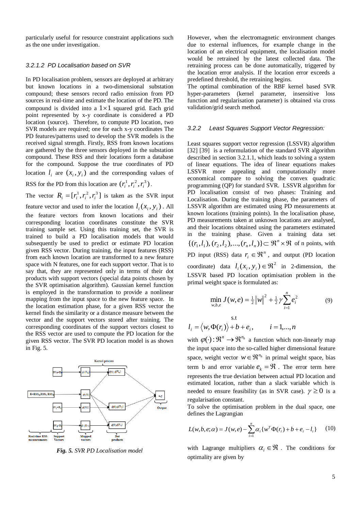particularly useful for resource constraint applications such as the one under investigation.

## *3.2.1.2 PD Localisation based on SVR*

In PD localisation problem, sensors are deployed at arbitrary but known locations in a two-dimensional substation compound; these sensors record radio emission from PD sources in real-time and estimate the location of the PD. The compound is divided into a  $1 \times 1$  squared grid. Each grid point represented by x-y coordinate is considered a PD location (source). Therefore, to compute PD location, two SVR models are required; one for each x-y coordinates The PD features/patterns used to develop the SVR models is the received signal strength. Firstly, RSS from known locations are gathered by the three sensors deployed in the substation compound. These RSS and their locations form a database for the compound. Suppose the true coordinates of PD location  $l_i$  are  $(x_i, y_i)$  and the corresponding values of

RSS for the PD from this location are  $(r_i^1, r_i^2, r_i^3)$  $r_i^1, r_i^2, r_i^3$ .

The vector  $R_i = [r_i^1, r_i^2, r_i^3]$  is taken as the SVR input

feature vector and used to infer the location  $l_i(x_i, y_i)$ . All the feature vectors from known locations and their corresponding location coordinates constitute the SVR training sample set. Using this training set, the SVR is trained to build a PD localisation models that would subsequently be used to predict or estimate PD location given RSS vector. During training, the input features (RSS) from each known location are transformed to a new feature space with N features, one for each support vector. That is to say that, they are represented only in terms of their dot products with support vectors (special data points chosen by the SVR optimisation algorithm). Gaussian kernel function is employed in the transformation to provide a nonlinear mapping from the input space to the new feature space. In the location estimation phase, for a given RSS vector the kernel finds the similarity or a distance measure between the vector and the support vectors stored after training. The corresponding coordinates of the support vectors closest to the RSS vector are used to compute the PD location for the given RSS vector. The SVR PD location model is as shown in [Fig. 5.](#page-5-0)



<span id="page-5-0"></span>*Fig. 5. SVR PD Localisation model*

However, when the electromagnetic environment changes due to external influences, for example change in the location of an electrical equipment, the localisation model would be retrained by the latest collected data. The retraining process can be done automatically, triggered by the location error analysis. If the location error exceeds a predefined threshold, the retraining begins.

The optimal combination of the RBF kernel based SVR hyper-parameters (kernel parameter, insensitive loss function and regularisation parameter) is obtained via cross validation/grid search method.

#### *3.2.2 Least Squares Support Vector Regression:*

Least squares support vector regression (LSSVR) algorithm [32] [39] is a reformulation of the standard SVR algorithm described in section 3.2.1.1, which leads to solving a system of linear equations. The idea of linear equations makes LSSVR more appealing and computationally more economical compare to solving the convex quadratic programming (QP) for standard SVR. LSSVR algorithm for PD localisation consist of two phases: Training and Localisation. During the training phase, the parameters of LSSVR algorithm are estimated using PD measurements at known locations (training points). In the localisation phase, PD measurements taken at unknown locations are analysed, and their locations obtained using the parameters estimated in the training phase. Given a training data set  $\{(r_1, l_1), (r_2, l_2), ..., (r_n, l_n)\} \subset \mathbb{R}^n \times \mathbb{R}$  of n points, with PD input (RSS) data  $r_i \in \mathbb{R}^n$ , and output (PD location coordinate) data  $l_i(x_i, y_i) \in \Re^2$  in 2-dimension, the LSSVR based PD location optimisation problem in the primal weight space is formulated as: *n*

$$
\min_{w,b,e} J(w,e) = \frac{1}{2} ||w||^2 + \frac{1}{2} \gamma \sum_{i=1}^{n} e_i^2
$$
 (9)

$$
l_i = \langle w, \Phi(r_i) \rangle + b + e_i, \qquad i = 1, \dots, n
$$

s.t

with  $\varphi(\cdot): \mathbb{R}^n \to \mathbb{R}^{n_h}$  a function which non-linearly map the input space into the so-called higher dimensional feature space, weight vector  $w \in \mathbb{R}^{n_h}$  in primal weight space, bias term b and error variable  $e_k = \Re$ . The error term here represents the true deviation between actual PD location and estimated location, rather than a slack variable which is needed to ensure feasibility (as in SVR case).  $\gamma \ge 0$  is a regularisation constant.

To solve the optimisation problem in the dual space, one defines the Lagrangian

$$
L(w, b, e; \alpha) = J(w, e) - \sum_{i=1}^{n} \alpha_i \{w^T \Phi(r_i) + b + e_i - l_i\}
$$
 (10)

with Lagrange multipliers  $\alpha_i \in \mathcal{R}$ . The conditions for optimality are given by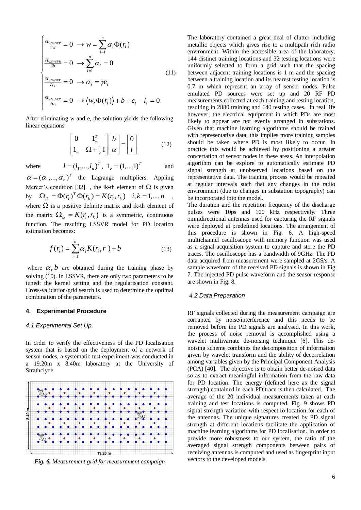$$
\begin{cases}\n\frac{\partial L_{LS-SVR}}{\partial w} = 0 \to w = \sum_{i=1}^{n} \alpha_i \Phi(r_i) \\
\frac{\partial L_{LS-SVR}}{\partial b} = 0 \to \sum_{i=1}^{n} \alpha_i = 0 \\
\frac{\partial L_{LS-SVR}}{\partial e_i} = 0 \to \alpha_i = \gamma e_i \\
\frac{\partial L_{LS-SVR}}{\partial \alpha_i} = 0 \to \langle w, \Phi(r_i) \rangle + b + e_i - l_i = 0\n\end{cases}
$$
\n(11)

After eliminating w and e, the solution yields the following linear equations:

$$
\begin{bmatrix} 0 & 1_{\nu}^{T} \\ 1_{\nu} & \Omega + \frac{1}{\gamma} I \end{bmatrix} \begin{bmatrix} b \\ \alpha \end{bmatrix} = \begin{bmatrix} 0 \\ I \end{bmatrix}
$$
 (12)

where

*T v T*  $l = (l_1, ..., l_n)^T$ ,  $l_v = (1, ..., l)$ and

*T*  $\alpha = (\alpha_1, ..., \alpha_n)^T$  the Lagrange multipliers. Appling Mercer's condition [32], the ik-th element of  $\Omega$  is given by  $\Omega_{ik} = \Phi(r_i)^T \Phi(r_k) = K(r_i, r_k) \quad i, k = 1, ..., n$ where  $\Omega$  is a positive definite matrix and ik-th element of the matrix  $\Omega_{ik} = K(r_i, r_k)$  is a symmetric, continuous function. The resulting LSSVR model for PD location estimation becomes:

$$
f(r_i) = \sum_{i=1}^{n} \alpha_i K(r_i, r_i) + b \tag{13}
$$

where  $\alpha$ , *b* are obtained during the training phase by solving (10). In LSSVR, there are only two parameters to be tuned: the kernel setting and the regularisation constant. Cross-validation/grid search is used to determine the optimal combination of the parameters.

## **4. Experimental Procedure**

## *4.1 Experimental Set Up*

In order to verify the effectiveness of the PD localisation system that is based on the deployment of a network of sensor nodes, a systematic test experiment was conducted in a 19.20m x 8.40m laboratory at the University of Strathclyde.



<span id="page-6-0"></span>*Fig. 6. Measurement grid for measurement campaign*

The laboratory contained a great deal of clutter including metallic objects which gives rise to a multipath rich radio environment. Within the accessible area of the laboratory, 144 distinct training locations and 32 testing locations were uniformly selected to form a grid such that the spacing between adjacent training locations is 1 m and the spacing between a training location and its nearest testing location is 0.7 m which represent an array of sensor nodes. Pulse emulated PD sources were set up and 20 RF PD measurements collected at each training and testing location, resulting in 2880 training and 640 testing cases. In real life however, the electrical equipment in which PDs are most likely to appear are not evenly arranged in substations. Given that machine learning algorithms should be trained with representative data, this implies more training samples should be taken where PD is most likely to occur. In practice this would be achieved by positioning a greater concertation of sensor nodes in these areas. An interpolation algorithm can be explore to automatically estimate PD signal strength at unobserved locations based on the representative data. The training process would be repeated at regular intervals such that any changes in the radio environment (due to changes in substation topography) can be incorporated into the model.

The duration and the repetition frequency of the discharge pulses were 10ps and 100 kHz respectively. Three omnidirectional antennas used for capturing the RF signals were deployed at predefined locations. The arrangement of this procedure is shown in [Fig.](#page-6-0) 6. A high-speed multichannel oscilloscope with memory function was used as a signal-acquisition system to capture and store the PD traces. The oscilloscope has a bandwidth of 9GHz. The PD data acquired from measurement were sampled at 2GS/s. A sample waveform of the received PD signals is shown in [Fig.](#page-7-0) [7.](#page-7-0) The injected PD pulse waveform and the sensor response are shown i[n Fig.](#page-7-1) 8.

## *4.2 Data Preparation*

RF signals collected during the measurement campaign are corrupted by noise/interference and this needs to be removed before the PD signals are analysed. In this work, the process of noise removal is accomplished using a wavelet multivariate de-noising technique [6]. This denoising scheme combines the decomposition of information given by wavelet transform and the ability of decorrelation among variables given by the Principal Component Analysis (PCA) [40]. The objective is to obtain better de-noised data so as to extract meaningful information from the raw data for PD location. The energy (defined here as the signal strength) contained in each PD trace is then calculated. The average of the 20 individual measurements taken at each training and test locations is computed. [Fig.](#page-7-2) 9 shows PD signal strength variation with respect to location for each of the antennas. The unique signatures created by PD signal strength at different locations facilitate the application of machine learning algorithms for PD localisation. In order to provide more robustness to our system, the ratio of the averaged signal strength components between pairs of receiving antennas is computed and used as fingerprint input vectors to the developed models.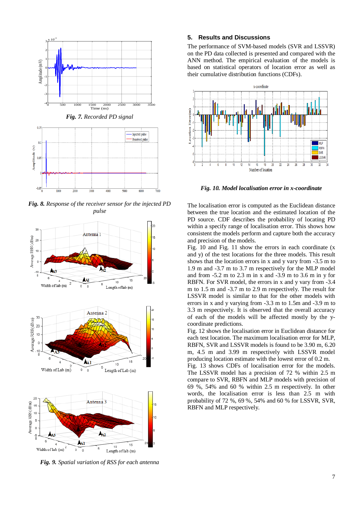<span id="page-7-0"></span>

<span id="page-7-1"></span>*Fig. 8. Response of the receiver sensor for the injected PD pulse*



<span id="page-7-2"></span>*Fig. 9. Spatial variation of RSS for each antenna*

## **5. Results and Discussions**

The performance of SVM-based models (SVR and LSSVR) on the PD data collected is presented and compared with the ANN method. The empirical evaluation of the models is based on statistical operators of location error as well as their cumulative distribution functions (CDFs).



<span id="page-7-3"></span>*Fig. 10. Model localisation error in x-coordinate*

The localisation error is computed as the Euclidean distance between the true location and the estimated location of the PD source. CDF describes the probability of locating PD within a specify range of localisation error. This shows how consistent the models perform and capture both the accuracy and precision of the models.

[Fig.](#page-7-3) 10 and [Fig.](#page-8-0) 11 show the errors in each coordinate (x and y) of the test locations for the three models. This result shows that the location errors in x and y vary from -3.5 m to 1.9 m and -3.7 m to 3.7 m respectively for the MLP model and from -5.2 m to 2.3 m in x and -3.9 m to 3.6 m in y for RBFN. For SVR model, the errors in x and y vary from -3.4 m to 1.5 m and -3.7 m to 2.9 m respectively. The result for LSSVR model is similar to that for the other models with errors in x and y varying from -3.3 m to 1.5m and -3.9 m to 3.3 m respectively. It is observed that the overall accuracy of each of the models will be affected mostly by the ycoordinate predictions.

[Fig.](#page-8-1) 12 shows the localisation error in Euclidean distance for each test location. The maximum localisation error for MLP, RBFN, SVR and LSSVR models is found to be 3.90 m, 6.20 m, 4.5 m and 3.99 m respectively with LSSVR model producing location estimate with the lowest error of 0.2 m.

[Fig.](#page-8-2) 13 shows CDFs of localisation error for the models. The LSSVR model has a precision of 72 % within 2.5 m compare to SVR, RBFN and MLP models with precision of 69 %, 54% and 60 % within 2.5 m respectively. In other words, the localisation error is less than 2.5 m with probability of 72 %, 69 %, 54% and 60 % for LSSVR, SVR, RBFN and MLP respectively.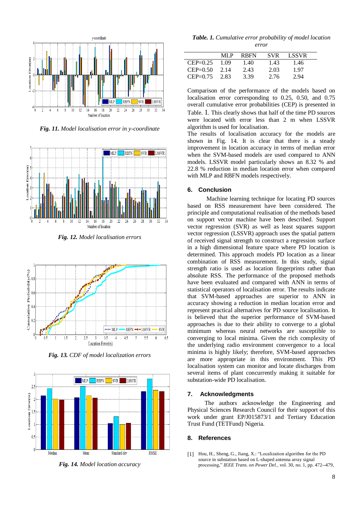

<span id="page-8-0"></span>*Fig. 11. Model localisation error in y-coordinate*



*Fig. 12. Model localisation errors*

<span id="page-8-1"></span>

*Fig. 13. CDF of model localization errors*

<span id="page-8-2"></span>

<span id="page-8-4"></span>*Fig. 14. Model location accuracy*

<span id="page-8-3"></span>*Table. 1. Cumulative error probability of model location error*

|            | ML P | <b>RBFN</b> | <b>SVR</b> | LSSVR |  |
|------------|------|-------------|------------|-------|--|
| $CEP=0.25$ | 1 09 | 1.40        | 1.43       | 1.46  |  |
| $CEP=0.50$ | 2.14 | 2.43        | 2.03       | 1.97  |  |
| $CEP=0.75$ | 2.83 | 3.39        | 2.76       | 2.94  |  |
|            |      |             |            |       |  |

Comparison of the performance of the models based on localisation error corresponding to 0.25, 0.50, and 0.75 overall cumulative error probabilities (CEP) is presented in [Table.](#page-8-3) 1. This clearly shows that half of the time PD sources were located with error less than 2 m when LSSVR algorithm is used for localisation.

The results of localisation accuracy for the models are shown in [Fig.](#page-8-4) 14. It is clear that there is a steady improvement in location accuracy in terms of median error when the SVM-based models are used compared to ANN models. LSSVR model particularly shows an 8.32 % and 22.8 % reduction in median location error when compared with MLP and RBFN models respectively.

## **6. Conclusion**

Machine learning technique for locating PD sources based on RSS measurement have been considered. The principle and computational realisation of the methods based on support vector machine have been described. Support vector regression (SVR) as well as least squares support vector regression (LSSVR) approach uses the spatial pattern of received signal strength to construct a regression surface in a high dimensional feature space where PD location is determined. This approach models PD location as a linear combination of RSS measurement. In this study, signal strength ratio is used as location fingerprints rather than absolute RSS. The performance of the proposed methods have been evaluated and compared with ANN in terms of statistical operators of localisation error. The results indicate that SVM-based approaches are superior to ANN in accuracy showing a reduction in median location error and represent practical alternatives for PD source localisation. It is believed that the superior performance of SVM-based approaches is due to their ability to converge to a global minimum whereas neural networks are susceptible to converging to local minima. Given the rich complexity of the underlying radio environment convergence to a local minima is highly likely; therefore, SVM-based approaches are more appropriate in this environment. This PD localisation system can monitor and locate discharges from several items of plant concurrently making it suitable for substation-wide PD localisation.

### **7. Acknowledgments**

The authors acknowledge the Engineering and Physical Sciences Research Council for their support of this work under grant EP/J015873/1 and Tertiary Education Trust Fund (TETFund) Nigeria.

#### **8. References**

[1] Hou, H., Sheng, G., Jiang, X.: "Localization algorithm for the PD source in substation based on L-shaped antenna array signal processing," *IEEE Trans. on Power Del.,* vol. 30, no. 1, pp. 472--479,